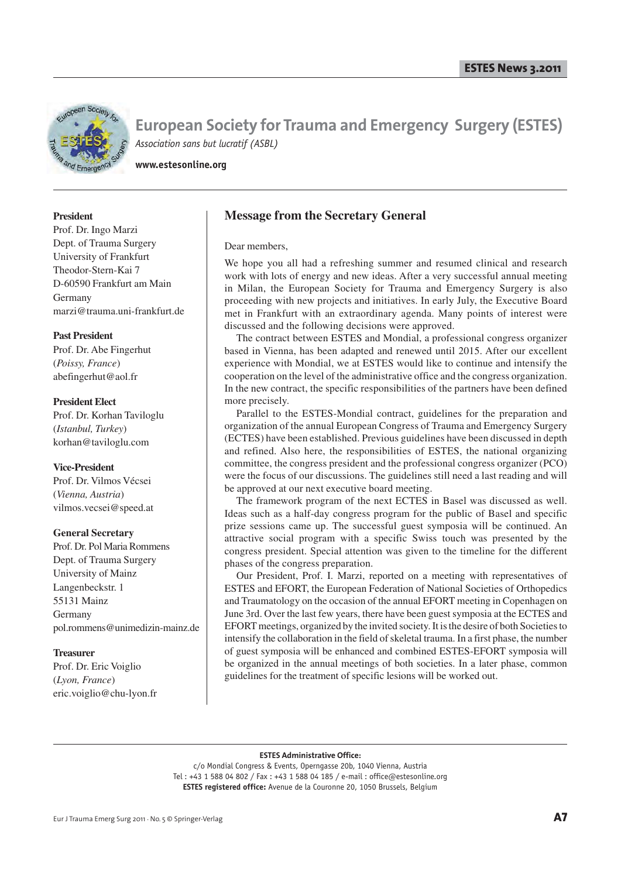

**www.estesonline.org**

#### **President**

Prof. Dr. Ingo Marzi Dept. of Trauma Surgery University of Frankfurt Theodor-Stern-Kai 7 D-60590 Frankfurt am Main Germany marzi@trauma.uni-frankfurt.de

#### **Past President**

Prof. Dr. Abe Fingerhut (*Poissy, France*) abefingerhut@aol.fr

#### **President Elect**

Prof. Dr. Korhan Taviloglu (*Istanbul, Turkey*) korhan@taviloglu.com

#### **Vice-President**

Prof. Dr. Vilmos Vécsei (*Vienna, Austria*) vilmos.vecsei@speed.at

#### **General Secretary**

Prof. Dr. Pol Maria Rommens Dept. of Trauma Surgery University of Mainz Langenbeckstr. 1 55131 Mainz Germany pol.rommens@unimedizin-mainz.de

#### **Treasurer**

Prof. Dr. Eric Voiglio (*Lyon, France*) eric.voiglio@chu-lyon.fr

### **Message from the Secretary General**

#### Dear members,

We hope you all had a refreshing summer and resumed clinical and research work with lots of energy and new ideas. After a very successful annual meeting in Milan, the European Society for Trauma and Emergency Surgery is also proceeding with new projects and initiatives. In early July, the Executive Board met in Frankfurt with an extraordinary agenda. Many points of interest were discussed and the following decisions were approved.

The contract between ESTES and Mondial, a professional congress organizer based in Vienna, has been adapted and renewed until 2015. After our excellent experience with Mondial, we at ESTES would like to continue and intensify the cooperation on the level of the administrative office and the congress organization. In the new contract, the specific responsibilities of the partners have been defined more precisely.

Parallel to the ESTES-Mondial contract, guidelines for the preparation and organization of the annual European Congress of Trauma and Emergency Surgery (ECTES) have been established. Previous guidelines have been discussed in depth and refined. Also here, the responsibilities of ESTES, the national organizing committee, the congress president and the professional congress organizer (PCO) were the focus of our discussions. The guidelines still need a last reading and will be approved at our next executive board meeting.

The framework program of the next ECTES in Basel was discussed as well. Ideas such as a half-day congress program for the public of Basel and specific prize sessions came up. The successful guest symposia will be continued. An attractive social program with a specific Swiss touch was presented by the congress president. Special attention was given to the timeline for the different phases of the congress preparation.

Our President, Prof. I. Marzi, reported on a meeting with representatives of ESTES and EFORT, the European Federation of National Societies of Orthopedics and Traumatology on the occasion of the annual EFORT meeting in Copenhagen on June 3rd. Over the last few years, there have been guest symposia at the ECTES and EFORT meetings, organized by the invited society. It is the desire of both Societies to intensify the collaboration in the field of skeletal trauma. In a first phase, the number of guest symposia will be enhanced and combined ESTES-EFORT symposia will be organized in the annual meetings of both societies. In a later phase, common guidelines for the treatment of specific lesions will be worked out.

#### **ESTES Administrative Office:**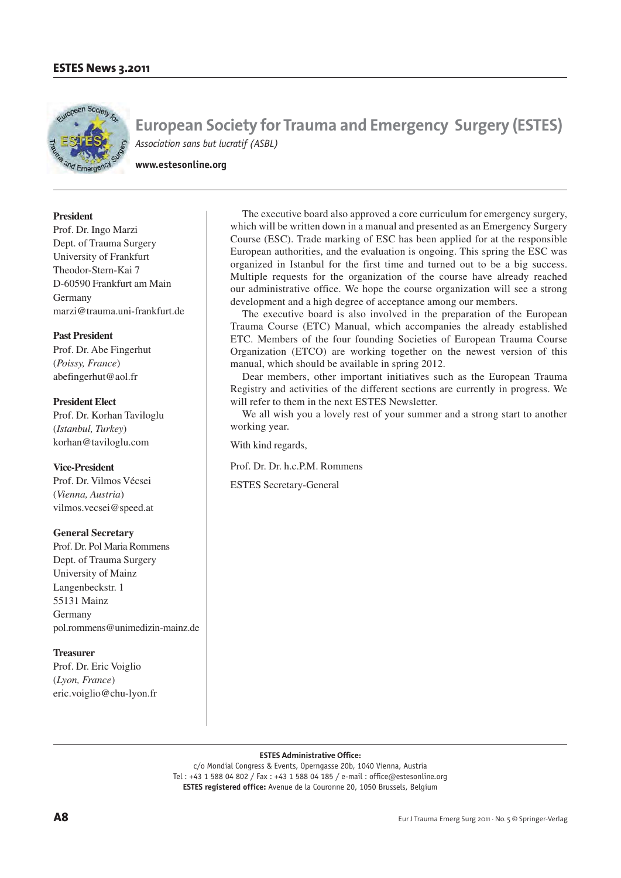

**www.estesonline.org**

#### **President**

Prof. Dr. Ingo Marzi Dept. of Trauma Surgery University of Frankfurt Theodor-Stern-Kai 7 D-60590 Frankfurt am Main Germany marzi@trauma.uni-frankfurt.de

#### **Past President**

Prof. Dr. Abe Fingerhut (*Poissy, France*) abefingerhut@aol.fr

#### **President Elect**

Prof. Dr. Korhan Taviloglu (*Istanbul, Turkey*) korhan@taviloglu.com

#### **Vice-President**

Prof. Dr. Vilmos Vécsei (*Vienna, Austria*) vilmos.vecsei@speed.at

#### **General Secretary**

Prof. Dr. Pol Maria Rommens Dept. of Trauma Surgery University of Mainz Langenbeckstr. 1 55131 Mainz Germany pol.rommens@unimedizin-mainz.de

#### **Treasurer**

Prof. Dr. Eric Voiglio (*Lyon, France*) eric.voiglio@chu-lyon.fr

The executive board also approved a core curriculum for emergency surgery, which will be written down in a manual and presented as an Emergency Surgery Course (ESC). Trade marking of ESC has been applied for at the responsible European authorities, and the evaluation is ongoing. This spring the ESC was organized in Istanbul for the first time and turned out to be a big success. Multiple requests for the organization of the course have already reached our administrative office. We hope the course organization will see a strong development and a high degree of acceptance among our members.

The executive board is also involved in the preparation of the European Trauma Course (ETC) Manual, which accompanies the already established ETC. Members of the four founding Societies of European Trauma Course Organization (ETCO) are working together on the newest version of this manual, which should be available in spring 2012.

Dear members, other important initiatives such as the European Trauma Registry and activities of the different sections are currently in progress. We will refer to them in the next ESTES Newsletter.

We all wish you a lovely rest of your summer and a strong start to another working year.

With kind regards,

Prof. Dr. Dr. h.c.P.M. Rommens

ESTES Secretary-General

**ESTES Administrative Office:**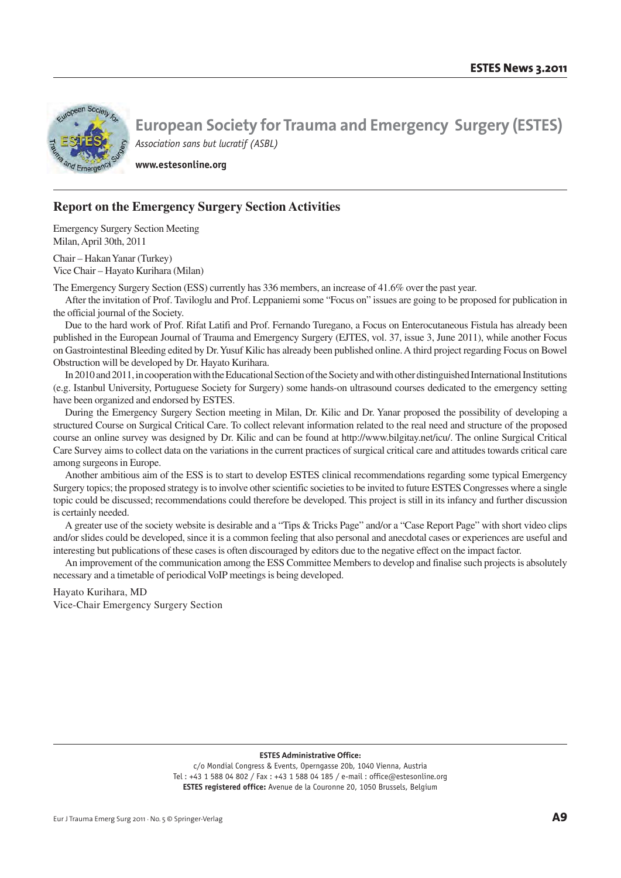

**www.estesonline.org**

## **Report on the Emergency Surgery Section Activities**

Emergency Surgery Section Meeting Milan, April 30th, 2011

Chair – Hakan Yanar (Turkey) Vice Chair – Hayato Kurihara (Milan)

The Emergency Surgery Section (ESS) currently has 336 members, an increase of 41.6% over the past year.

After the invitation of Prof. Taviloglu and Prof. Leppaniemi some "Focus on" issues are going to be proposed for publication in the official journal of the Society.

Due to the hard work of Prof. Rifat Latifi and Prof. Fernando Turegano, a Focus on Enterocutaneous Fistula has already been published in the European Journal of Trauma and Emergency Surgery (EJTES, vol. 37, issue 3, June 2011), while another Focus on Gastrointestinal Bleeding edited by Dr. Yusuf Kilic has already been published online. A third project regarding Focus on Bowel Obstruction will be developed by Dr. Hayato Kurihara.

In 2010 and 2011, in cooperation with the Educational Section of the Society and with other distinguished International Institutions (e.g. Istanbul University, Portuguese Society for Surgery) some hands-on ultrasound courses dedicated to the emergency setting have been organized and endorsed by ESTES.

During the Emergency Surgery Section meeting in Milan, Dr. Kilic and Dr. Yanar proposed the possibility of developing a structured Course on Surgical Critical Care. To collect relevant information related to the real need and structure of the proposed course an online survey was designed by Dr. Kilic and can be found at http://www.bilgitay.net/icu/. The online Surgical Critical Care Survey aims to collect data on the variations in the current practices of surgical critical care and attitudes towards critical care among surgeons in Europe.

Another ambitious aim of the ESS is to start to develop ESTES clinical recommendations regarding some typical Emergency Surgery topics; the proposed strategy is to involve other scientific societies to be invited to future ESTES Congresses where a single topic could be discussed; recommendations could therefore be developed. This project is still in its infancy and further discussion is certainly needed.

A greater use of the society website is desirable and a "Tips & Tricks Page" and/or a "Case Report Page" with short video clips and/or slides could be developed, since it is a common feeling that also personal and anecdotal cases or experiences are useful and interesting but publications of these cases is often discouraged by editors due to the negative effect on the impact factor.

An improvement of the communication among the ESS Committee Members to develop and finalise such projects is absolutely necessary and a timetable of periodical VoIP meetings is being developed.

Hayato Kurihara, MD Vice-Chair Emergency Surgery Section

**ESTES Administrative Office:**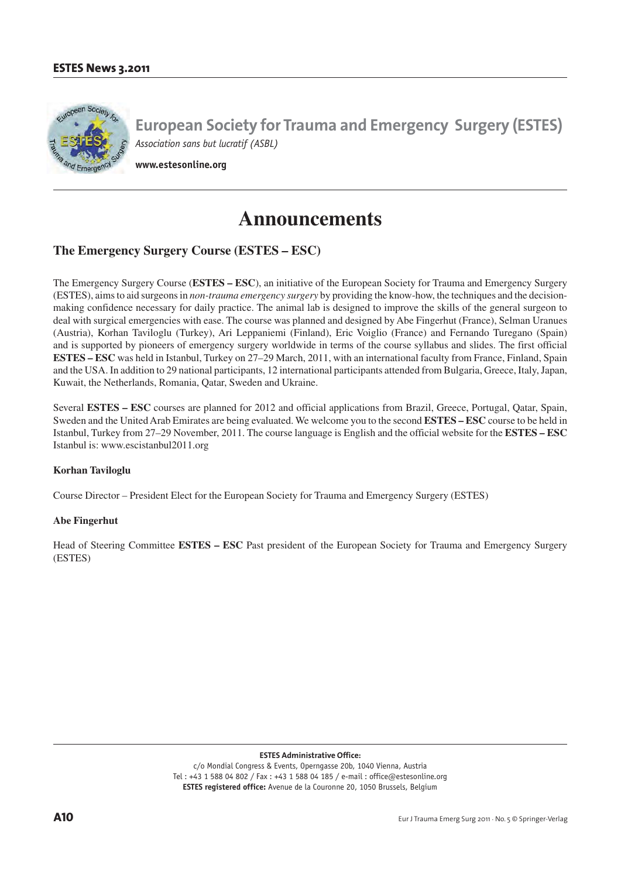

**www.estesonline.org**

# **Announcements**

## **The Emergency Surgery Course (ESTES – ESC)**

The Emergency Surgery Course (**ESTES – ESC**), an initiative of the European Society for Trauma and Emergency Surgery (ESTES), aims to aid surgeons in *non-trauma emergency surgery* by providing the know-how, the techniques and the decisionmaking confidence necessary for daily practice. The animal lab is designed to improve the skills of the general surgeon to deal with surgical emergencies with ease. The course was planned and designed by Abe Fingerhut (France), Selman Uranues (Austria), Korhan Taviloglu (Turkey), Ari Leppaniemi (Finland), Eric Voiglio (France) and Fernando Turegano (Spain) and is supported by pioneers of emergency surgery worldwide in terms of the course syllabus and slides. The first official **ESTES – ESC** was held in Istanbul, Turkey on 27–29 March, 2011, with an international faculty from France, Finland, Spain and the USA. In addition to 29 national participants, 12 international participants attended from Bulgaria, Greece, Italy, Japan, Kuwait, the Netherlands, Romania, Qatar, Sweden and Ukraine.

Several **ESTES – ESC** courses are planned for 2012 and official applications from Brazil, Greece, Portugal, Qatar, Spain, Sweden and the United Arab Emirates are being evaluated. We welcome you to the second **ESTES – ESC** course to be held in Istanbul, Turkey from 27–29 November, 2011. The course language is English and the official website for the **ESTES – ESC**  Istanbul is: www.escistanbul2011.org

#### **Korhan Taviloglu**

Course Director – President Elect for the European Society for Trauma and Emergency Surgery (ESTES)

#### **Abe Fingerhut**

Head of Steering Committee **ESTES – ESC** Past president of the European Society for Trauma and Emergency Surgery (ESTES)

**ESTES Administrative Office:**